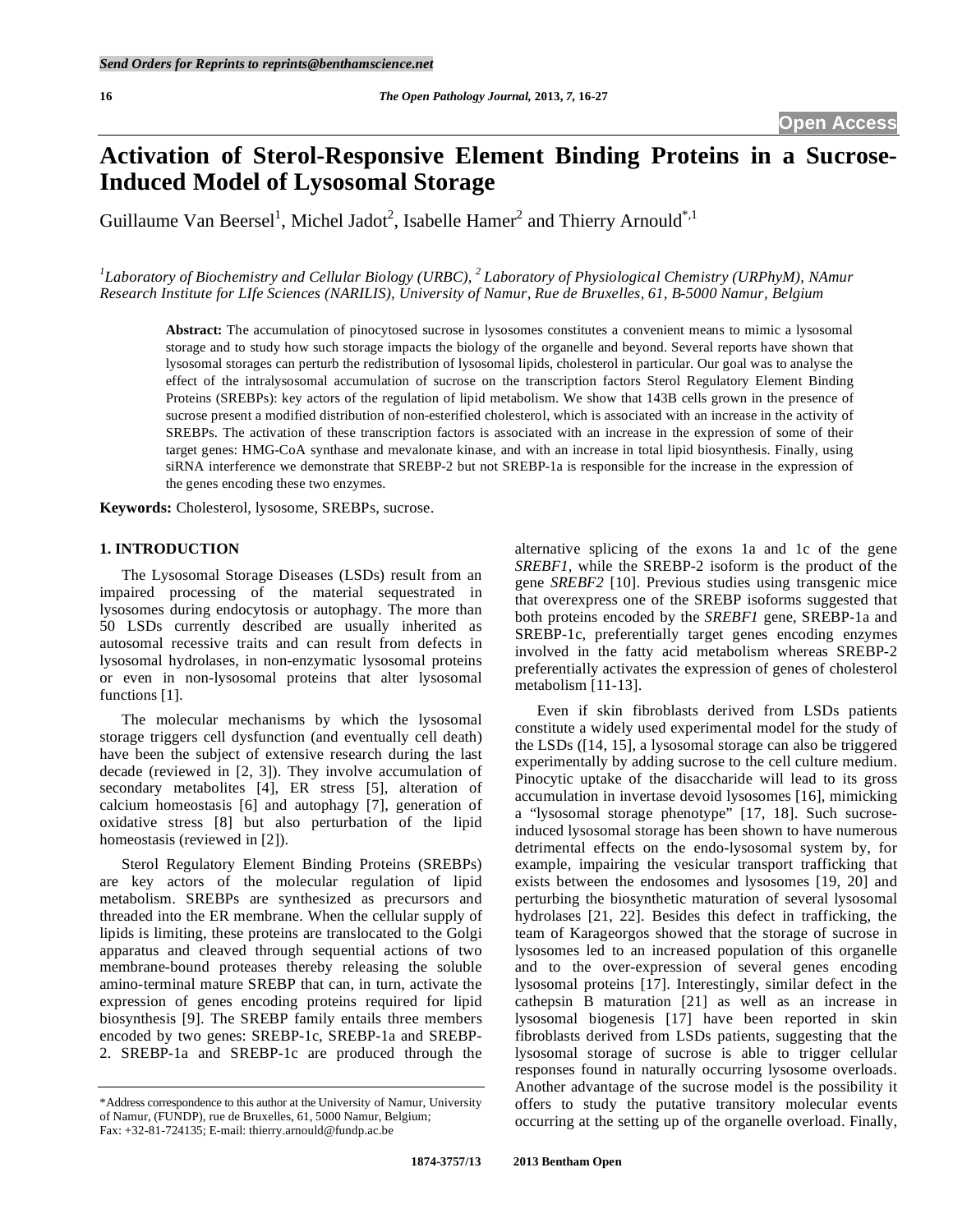# **Activation of Sterol-Responsive Element Binding Proteins in a Sucrose-Induced Model of Lysosomal Storage**

Guillaume Van Beersel<sup>1</sup>, Michel Jadot<sup>2</sup>, Isabelle Hamer<sup>2</sup> and Thierry Arnould<sup>\*,1</sup>

<sup>1</sup>Laboratory of Biochemistry and Cellular Biology (URBC), <sup>2</sup> Laboratory of Physiological Chemistry (URPhyM), NAmur *Research Institute for LIfe Sciences (NARILIS), University of Namur, Rue de Bruxelles, 61, B-5000 Namur, Belgium* 

**Abstract:** The accumulation of pinocytosed sucrose in lysosomes constitutes a convenient means to mimic a lysosomal storage and to study how such storage impacts the biology of the organelle and beyond. Several reports have shown that lysosomal storages can perturb the redistribution of lysosomal lipids, cholesterol in particular. Our goal was to analyse the effect of the intralysosomal accumulation of sucrose on the transcription factors Sterol Regulatory Element Binding Proteins (SREBPs): key actors of the regulation of lipid metabolism. We show that 143B cells grown in the presence of sucrose present a modified distribution of non-esterified cholesterol, which is associated with an increase in the activity of SREBPs. The activation of these transcription factors is associated with an increase in the expression of some of their target genes: HMG-CoA synthase and mevalonate kinase, and with an increase in total lipid biosynthesis. Finally, using siRNA interference we demonstrate that SREBP-2 but not SREBP-1a is responsible for the increase in the expression of the genes encoding these two enzymes.

**Keywords:** Cholesterol, lysosome, SREBPs, sucrose.

#### **1. INTRODUCTION**

 The Lysosomal Storage Diseases (LSDs) result from an impaired processing of the material sequestrated in lysosomes during endocytosis or autophagy. The more than 50 LSDs currently described are usually inherited as autosomal recessive traits and can result from defects in lysosomal hydrolases, in non-enzymatic lysosomal proteins or even in non-lysosomal proteins that alter lysosomal functions [1].

 The molecular mechanisms by which the lysosomal storage triggers cell dysfunction (and eventually cell death) have been the subject of extensive research during the last decade (reviewed in [2, 3]). They involve accumulation of secondary metabolites [4], ER stress [5], alteration of calcium homeostasis [6] and autophagy [7], generation of oxidative stress [8] but also perturbation of the lipid homeostasis (reviewed in [2]).

 Sterol Regulatory Element Binding Proteins (SREBPs) are key actors of the molecular regulation of lipid metabolism. SREBPs are synthesized as precursors and threaded into the ER membrane. When the cellular supply of lipids is limiting, these proteins are translocated to the Golgi apparatus and cleaved through sequential actions of two membrane-bound proteases thereby releasing the soluble amino-terminal mature SREBP that can, in turn, activate the expression of genes encoding proteins required for lipid biosynthesis [9]. The SREBP family entails three members encoded by two genes: SREBP-1c, SREBP-1a and SREBP-2. SREBP-1a and SREBP-1c are produced through the

alternative splicing of the exons 1a and 1c of the gene *SREBF1*, while the SREBP-2 isoform is the product of the gene *SREBF2* [10]. Previous studies using transgenic mice that overexpress one of the SREBP isoforms suggested that both proteins encoded by the *SREBF1* gene, SREBP-1a and SREBP-1c, preferentially target genes encoding enzymes involved in the fatty acid metabolism whereas SREBP-2 preferentially activates the expression of genes of cholesterol metabolism [11-13].

 Even if skin fibroblasts derived from LSDs patients constitute a widely used experimental model for the study of the LSDs ([14, 15], a lysosomal storage can also be triggered experimentally by adding sucrose to the cell culture medium. Pinocytic uptake of the disaccharide will lead to its gross accumulation in invertase devoid lysosomes [16], mimicking a "lysosomal storage phenotype" [17, 18]. Such sucroseinduced lysosomal storage has been shown to have numerous detrimental effects on the endo-lysosomal system by, for example, impairing the vesicular transport trafficking that exists between the endosomes and lysosomes [19, 20] and perturbing the biosynthetic maturation of several lysosomal hydrolases [21, 22]. Besides this defect in trafficking, the team of Karageorgos showed that the storage of sucrose in lysosomes led to an increased population of this organelle and to the over-expression of several genes encoding lysosomal proteins [17]. Interestingly, similar defect in the cathepsin B maturation [21] as well as an increase in lysosomal biogenesis [17] have been reported in skin fibroblasts derived from LSDs patients, suggesting that the lysosomal storage of sucrose is able to trigger cellular responses found in naturally occurring lysosome overloads. Another advantage of the sucrose model is the possibility it offers to study the putative transitory molecular events occurring at the setting up of the organelle overload. Finally,

<sup>\*</sup>Address correspondence to this author at the University of Namur, University of Namur, (FUNDP), rue de Bruxelles, 61, 5000 Namur, Belgium; Fax: +32-81-724135; E-mail: thierry.arnould@fundp.ac.be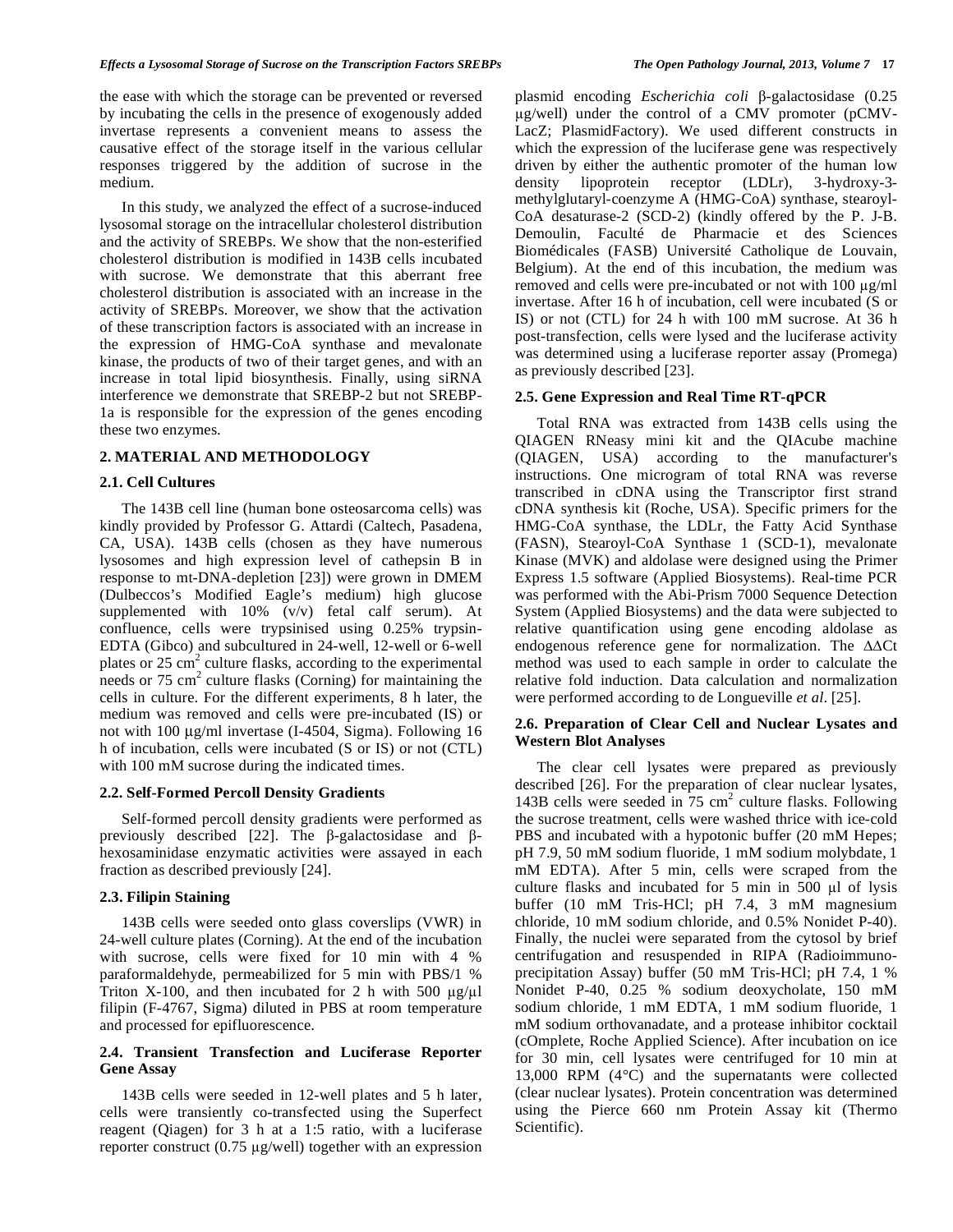the ease with which the storage can be prevented or reversed by incubating the cells in the presence of exogenously added invertase represents a convenient means to assess the causative effect of the storage itself in the various cellular responses triggered by the addition of sucrose in the medium.

 In this study, we analyzed the effect of a sucrose-induced lysosomal storage on the intracellular cholesterol distribution and the activity of SREBPs. We show that the non-esterified cholesterol distribution is modified in 143B cells incubated with sucrose. We demonstrate that this aberrant free cholesterol distribution is associated with an increase in the activity of SREBPs. Moreover, we show that the activation of these transcription factors is associated with an increase in the expression of HMG-CoA synthase and mevalonate kinase, the products of two of their target genes, and with an increase in total lipid biosynthesis. Finally, using siRNA interference we demonstrate that SREBP-2 but not SREBP-1a is responsible for the expression of the genes encoding these two enzymes.

#### **2. MATERIAL AND METHODOLOGY**

#### **2.1. Cell Cultures**

 The 143B cell line (human bone osteosarcoma cells) was kindly provided by Professor G. Attardi (Caltech, Pasadena, CA, USA). 143B cells (chosen as they have numerous lysosomes and high expression level of cathepsin B in response to mt-DNA-depletion [23]) were grown in DMEM (Dulbeccos's Modified Eagle's medium) high glucose supplemented with  $10\%$  (v/v) fetal calf serum). At confluence, cells were trypsinised using 0.25% trypsin-EDTA (Gibco) and subcultured in 24-well, 12-well or 6-well plates or  $25 \text{ cm}^2$  culture flasks, according to the experimental needs or  $75 \text{ cm}^2$  culture flasks (Corning) for maintaining the cells in culture. For the different experiments, 8 h later, the medium was removed and cells were pre-incubated (IS) or not with 100 μg/ml invertase (I-4504, Sigma). Following 16 h of incubation, cells were incubated (S or IS) or not (CTL) with 100 mM sucrose during the indicated times.

#### **2.2. Self-Formed Percoll Density Gradients**

 Self-formed percoll density gradients were performed as previously described [22]. The  $\beta$ -galactosidase and  $\beta$ hexosaminidase enzymatic activities were assayed in each fraction as described previously [24].

# **2.3. Filipin Staining**

 143B cells were seeded onto glass coverslips (VWR) in 24-well culture plates (Corning). At the end of the incubation with sucrose, cells were fixed for 10 min with 4 % paraformaldehyde, permeabilized for 5 min with PBS/1 % Triton X-100, and then incubated for 2 h with 500  $\mu$ g/ $\mu$ l filipin (F-4767, Sigma) diluted in PBS at room temperature and processed for epifluorescence.

# **2.4. Transient Transfection and Luciferase Reporter Gene Assay**

 143B cells were seeded in 12-well plates and 5 h later, cells were transiently co-transfected using the Superfect reagent (Qiagen) for 3 h at a 1:5 ratio, with a luciferase reporter construct  $(0.75 \text{ µg/well})$  together with an expression

plasmid encoding *Escherichia coli*  $\beta$ -galactosidase (0.25) g/well) under the control of a CMV promoter (pCMV-LacZ; PlasmidFactory). We used different constructs in which the expression of the luciferase gene was respectively driven by either the authentic promoter of the human low density lipoprotein receptor (LDLr), 3-hydroxy-3 methylglutaryl-coenzyme A (HMG-CoA) synthase, stearoyl-CoA desaturase-2 (SCD-2) (kindly offered by the P. J-B. Demoulin, Faculté de Pharmacie et des Sciences Biomédicales (FASB) Université Catholique de Louvain, Belgium). At the end of this incubation, the medium was removed and cells were pre-incubated or not with 100  $\mu$ g/ml invertase. After 16 h of incubation, cell were incubated (S or IS) or not (CTL) for 24 h with 100 mM sucrose. At 36 h post-transfection, cells were lysed and the luciferase activity was determined using a luciferase reporter assay (Promega) as previously described [23].

#### **2.5. Gene Expression and Real Time RT-qPCR**

 Total RNA was extracted from 143B cells using the QIAGEN RNeasy mini kit and the QIAcube machine (QIAGEN, USA) according to the manufacturer's instructions. One microgram of total RNA was reverse transcribed in cDNA using the Transcriptor first strand cDNA synthesis kit (Roche, USA). Specific primers for the HMG-CoA synthase, the LDLr, the Fatty Acid Synthase (FASN), Stearoyl-CoA Synthase 1 (SCD-1), mevalonate Kinase (MVK) and aldolase were designed using the Primer Express 1.5 software (Applied Biosystems). Real-time PCR was performed with the Abi-Prism 7000 Sequence Detection System (Applied Biosystems) and the data were subjected to relative quantification using gene encoding aldolase as endogenous reference gene for normalization. The  $\Delta\Delta Ct$ method was used to each sample in order to calculate the relative fold induction. Data calculation and normalization were performed according to de Longueville *et al*. [25].

#### **2.6. Preparation of Clear Cell and Nuclear Lysates and Western Blot Analyses**

 The clear cell lysates were prepared as previously described [26]. For the preparation of clear nuclear lysates, 143B cells were seeded in 75 cm<sup>2</sup> culture flasks. Following the sucrose treatment, cells were washed thrice with ice-cold PBS and incubated with a hypotonic buffer (20 mM Hepes; pH 7.9, 50 mM sodium fluoride, 1 mM sodium molybdate, 1 mM EDTA). After 5 min, cells were scraped from the culture flasks and incubated for  $5$  min in  $500 \mu l$  of lysis buffer (10 mM Tris-HCl; pH 7.4, 3 mM magnesium chloride, 10 mM sodium chloride, and 0.5% Nonidet P-40). Finally, the nuclei were separated from the cytosol by brief centrifugation and resuspended in RIPA (Radioimmunoprecipitation Assay) buffer (50 mM Tris-HCl; pH 7.4, 1 % Nonidet P-40, 0.25 % sodium deoxycholate, 150 mM sodium chloride, 1 mM EDTA, 1 mM sodium fluoride, 1 mM sodium orthovanadate, and a protease inhibitor cocktail (cOmplete, Roche Applied Science). After incubation on ice for 30 min, cell lysates were centrifuged for 10 min at 13,000 RPM (4°C) and the supernatants were collected (clear nuclear lysates). Protein concentration was determined using the Pierce 660 nm Protein Assay kit (Thermo Scientific).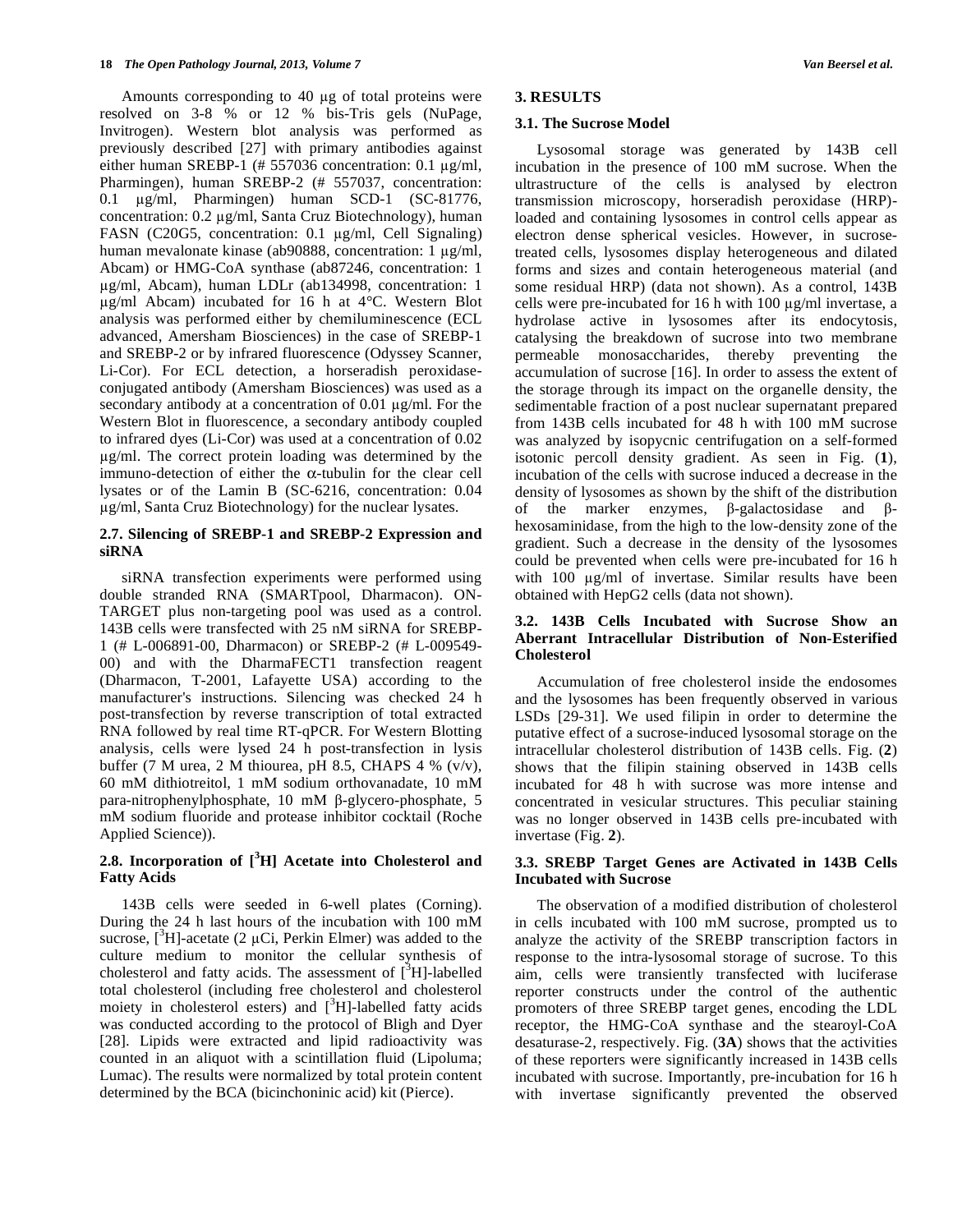Amounts corresponding to 40 µg of total proteins were resolved on 3-8 % or 12 % bis-Tris gels (NuPage, Invitrogen). Western blot analysis was performed as previously described [27] with primary antibodies against either human SREBP-1 (# 557036 concentration:  $0.1 \mu$ g/ml, Pharmingen), human SREBP-2 (# 557037, concentration: 0.1 g/ml, Pharmingen) human SCD-1 (SC-81776, concentration: 0.2  $\mu$ g/ml, Santa Cruz Biotechnology), human FASN (C20G5, concentration: 0.1 µg/ml, Cell Signaling) human mevalonate kinase (ab $90888$ , concentration: 1  $\mu$ g/ml, Abcam) or HMG-CoA synthase (ab87246, concentration: 1 g/ml, Abcam), human LDLr (ab134998, concentration: 1  $\mu$ g/ml Abcam) incubated for 16 h at 4°C. Western Blot analysis was performed either by chemiluminescence (ECL advanced, Amersham Biosciences) in the case of SREBP-1 and SREBP-2 or by infrared fluorescence (Odyssey Scanner, Li-Cor). For ECL detection, a horseradish peroxidaseconjugated antibody (Amersham Biosciences) was used as a secondary antibody at a concentration of  $0.01 \mu g/ml$ . For the Western Blot in fluorescence, a secondary antibody coupled to infrared dyes (Li-Cor) was used at a concentration of 0.02 g/ml. The correct protein loading was determined by the immuno-detection of either the  $\alpha$ -tubulin for the clear cell lysates or of the Lamin B (SC-6216, concentration: 0.04 g/ml, Santa Cruz Biotechnology) for the nuclear lysates.

# **2.7. Silencing of SREBP-1 and SREBP-2 Expression and siRNA**

 siRNA transfection experiments were performed using double stranded RNA (SMARTpool, Dharmacon). ON-TARGET plus non-targeting pool was used as a control. 143B cells were transfected with 25 nM siRNA for SREBP-1 (# L-006891-00, Dharmacon) or SREBP-2 (# L-009549- 00) and with the DharmaFECT1 transfection reagent (Dharmacon, T-2001, Lafayette USA) according to the manufacturer's instructions. Silencing was checked 24 h post-transfection by reverse transcription of total extracted RNA followed by real time RT-qPCR. For Western Blotting analysis, cells were lysed 24 h post-transfection in lysis buffer (7 M urea, 2 M thiourea, pH 8.5, CHAPS 4 % (v/v), 60 mM dithiotreitol, 1 mM sodium orthovanadate, 10 mM para-nitrophenylphosphate,  $10 \text{ mM } \beta$ -glycero-phosphate, 5 mM sodium fluoride and protease inhibitor cocktail (Roche Applied Science)).

# **2.8. Incorporation of [<sup>3</sup> H] Acetate into Cholesterol and Fatty Acids**

 143B cells were seeded in 6-well plates (Corning). During the 24 h last hours of the incubation with 100 mM sucrose,  $[^{3}H]$ -acetate (2 µCi, Perkin Elmer) was added to the culture medium to monitor the cellular synthesis of cholesterol and fatty acids. The assessment of  $\left[\begin{array}{c} 3 \\ 1 \end{array}\right]$ -labelled total cholesterol (including free cholesterol and cholesterol moiety in cholesterol esters) and  $[{}^{3}H]$ -labelled fatty acids was conducted according to the protocol of Bligh and Dyer [28]. Lipids were extracted and lipid radioactivity was counted in an aliquot with a scintillation fluid (Lipoluma; Lumac). The results were normalized by total protein content determined by the BCA (bicinchoninic acid) kit (Pierce).

# **3. RESULTS**

# **3.1. The Sucrose Model**

 Lysosomal storage was generated by 143B cell incubation in the presence of 100 mM sucrose. When the ultrastructure of the cells is analysed by electron transmission microscopy, horseradish peroxidase (HRP) loaded and containing lysosomes in control cells appear as electron dense spherical vesicles. However, in sucrosetreated cells, lysosomes display heterogeneous and dilated forms and sizes and contain heterogeneous material (and some residual HRP) (data not shown). As a control, 143B cells were pre-incubated for 16 h with  $100 \mu g/ml$  invertase, a hydrolase active in lysosomes after its endocytosis, catalysing the breakdown of sucrose into two membrane permeable monosaccharides, thereby preventing the accumulation of sucrose [16]. In order to assess the extent of the storage through its impact on the organelle density, the sedimentable fraction of a post nuclear supernatant prepared from 143B cells incubated for 48 h with 100 mM sucrose was analyzed by isopycnic centrifugation on a self-formed isotonic percoll density gradient. As seen in Fig. (**1**), incubation of the cells with sucrose induced a decrease in the density of lysosomes as shown by the shift of the distribution of the marker enzymes,  $\beta$ -galactosidase and  $\beta$  hexosaminidase, from the high to the low-density zone of the gradient. Such a decrease in the density of the lysosomes could be prevented when cells were pre-incubated for 16 h with  $100 \mu g/ml$  of invertase. Similar results have been obtained with HepG2 cells (data not shown).

# **3.2. 143B Cells Incubated with Sucrose Show an Aberrant Intracellular Distribution of Non-Esterified Cholesterol**

 Accumulation of free cholesterol inside the endosomes and the lysosomes has been frequently observed in various LSDs [29-31]. We used filipin in order to determine the putative effect of a sucrose-induced lysosomal storage on the intracellular cholesterol distribution of 143B cells. Fig. (**2**) shows that the filipin staining observed in 143B cells incubated for 48 h with sucrose was more intense and concentrated in vesicular structures. This peculiar staining was no longer observed in 143B cells pre-incubated with invertase (Fig. **2**).

# **3.3. SREBP Target Genes are Activated in 143B Cells Incubated with Sucrose**

 The observation of a modified distribution of cholesterol in cells incubated with 100 mM sucrose, prompted us to analyze the activity of the SREBP transcription factors in response to the intra-lysosomal storage of sucrose. To this aim, cells were transiently transfected with luciferase reporter constructs under the control of the authentic promoters of three SREBP target genes, encoding the LDL receptor, the HMG-CoA synthase and the stearoyl-CoA desaturase-2, respectively. Fig. (**3A**) shows that the activities of these reporters were significantly increased in 143B cells incubated with sucrose. Importantly, pre-incubation for 16 h with invertase significantly prevented the observed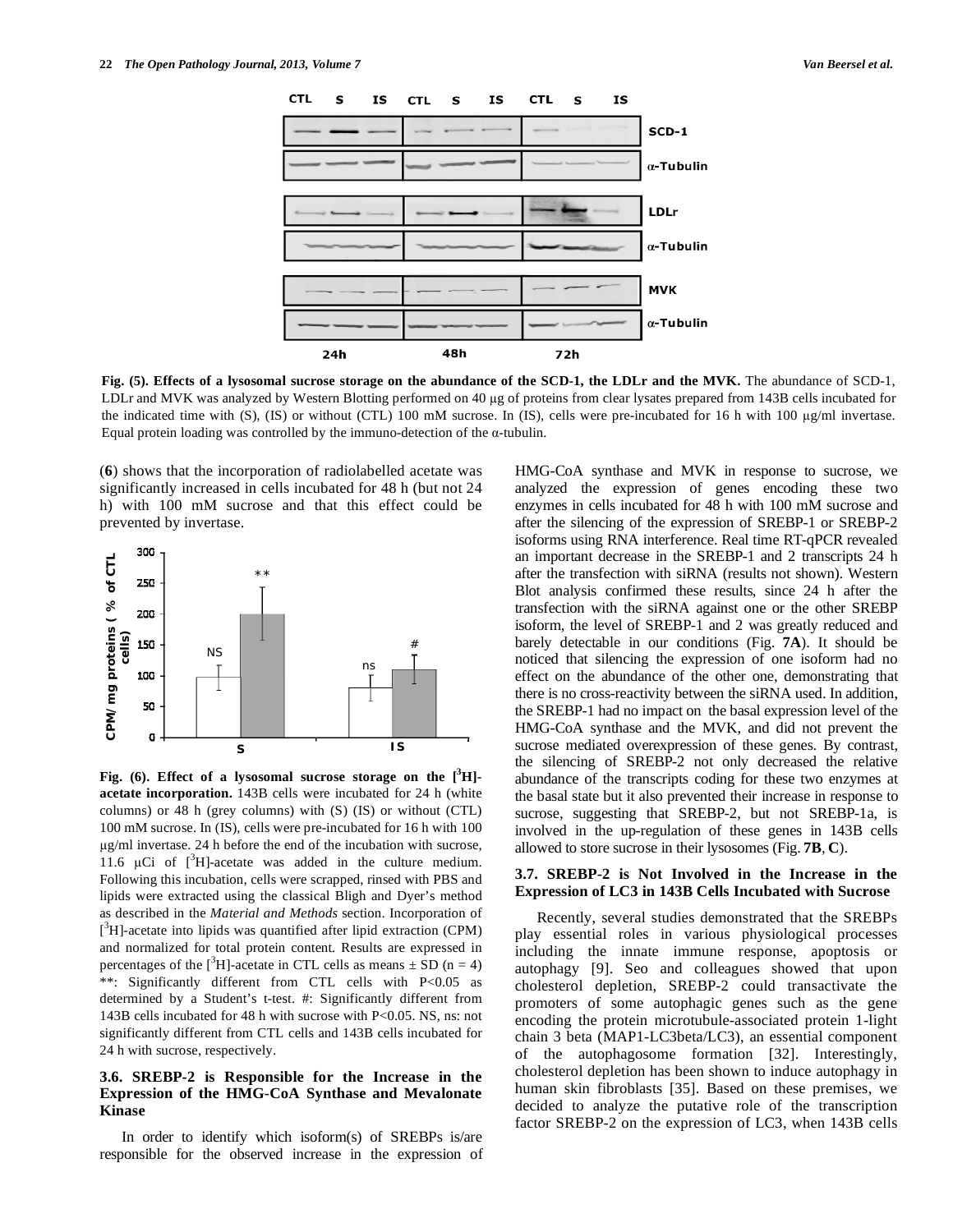

**Fig. (5). Effects of a lysosomal sucrose storage on the abundance of the SCD-1, the LDLr and the MVK.** The abundance of SCD-1, LDLr and MVK was analyzed by Western Blotting performed on 40 µg of proteins from clear lysates prepared from 143B cells incubated for the indicated time with (S), (IS) or without (CTL) 100 mM sucrose. In (IS), cells were pre-incubated for 16 h with 100  $\mu$ g/ml invertase. Equal protein loading was controlled by the immuno-detection of the  $\alpha$ -tubulin.

(**6**) shows that the incorporation of radiolabelled acetate was significantly increased in cells incubated for 48 h (but not 24 h) with 100 mM sucrose and that this effect could be prevented by invertase.



**Fig. (6). Effect of a lysosomal sucrose storage on the [3 H] acetate incorporation.** 143B cells were incubated for 24 h (white columns) or 48 h (grey columns) with (S) (IS) or without (CTL) 100 mM sucrose. In (IS), cells were pre-incubated for 16 h with 100 g/ml invertase. 24 h before the end of the incubation with sucrose, 11.6  $\mu$ Ci of [<sup>3</sup>H]-acetate was added in the culture medium. Following this incubation, cells were scrapped, rinsed with PBS and lipids were extracted using the classical Bligh and Dyer's method as described in the *Material and Methods* section. Incorporation of  $[^3H]$ -acetate into lipids was quantified after lipid extraction (CPM) and normalized for total protein content. Results are expressed in percentages of the  $[{}^{3}H]$ -acetate in CTL cells as means  $\pm$  SD (n = 4) \*\*: Significantly different from CTL cells with P<0.05 as determined by a Student's t-test. #: Significantly different from 143B cells incubated for 48 h with sucrose with P<0.05. NS, ns: not significantly different from CTL cells and 143B cells incubated for 24 h with sucrose, respectively.

# **3.6. SREBP-2 is Responsible for the Increase in the Expression of the HMG-CoA Synthase and Mevalonate Kinase**

 In order to identify which isoform(s) of SREBPs is/are responsible for the observed increase in the expression of HMG-CoA synthase and MVK in response to sucrose, we analyzed the expression of genes encoding these two enzymes in cells incubated for 48 h with 100 mM sucrose and after the silencing of the expression of SREBP-1 or SREBP-2 isoforms using RNA interference. Real time RT-qPCR revealed an important decrease in the SREBP-1 and 2 transcripts 24 h after the transfection with siRNA (results not shown). Western Blot analysis confirmed these results, since 24 h after the transfection with the siRNA against one or the other SREBP isoform, the level of SREBP-1 and 2 was greatly reduced and barely detectable in our conditions (Fig. **7A**). It should be noticed that silencing the expression of one isoform had no effect on the abundance of the other one, demonstrating that there is no cross-reactivity between the siRNA used. In addition, the SREBP-1 had no impact on the basal expression level of the HMG-CoA synthase and the MVK, and did not prevent the sucrose mediated overexpression of these genes. By contrast, the silencing of SREBP-2 not only decreased the relative abundance of the transcripts coding for these two enzymes at the basal state but it also prevented their increase in response to sucrose, suggesting that SREBP-2, but not SREBP-1a, is involved in the up-regulation of these genes in 143B cells allowed to store sucrose in their lysosomes (Fig. **7B**, **C**).

#### **3.7. SREBP-2 is Not Involved in the Increase in the Expression of LC3 in 143B Cells Incubated with Sucrose**

 Recently, several studies demonstrated that the SREBPs play essential roles in various physiological processes including the innate immune response, apoptosis or autophagy [9]. Seo and colleagues showed that upon cholesterol depletion, SREBP-2 could transactivate the promoters of some autophagic genes such as the gene encoding the protein microtubule-associated protein 1-light chain 3 beta (MAP1-LC3beta/LC3), an essential component of the autophagosome formation [32]. Interestingly, cholesterol depletion has been shown to induce autophagy in human skin fibroblasts [35]. Based on these premises, we decided to analyze the putative role of the transcription factor SREBP-2 on the expression of LC3, when 143B cells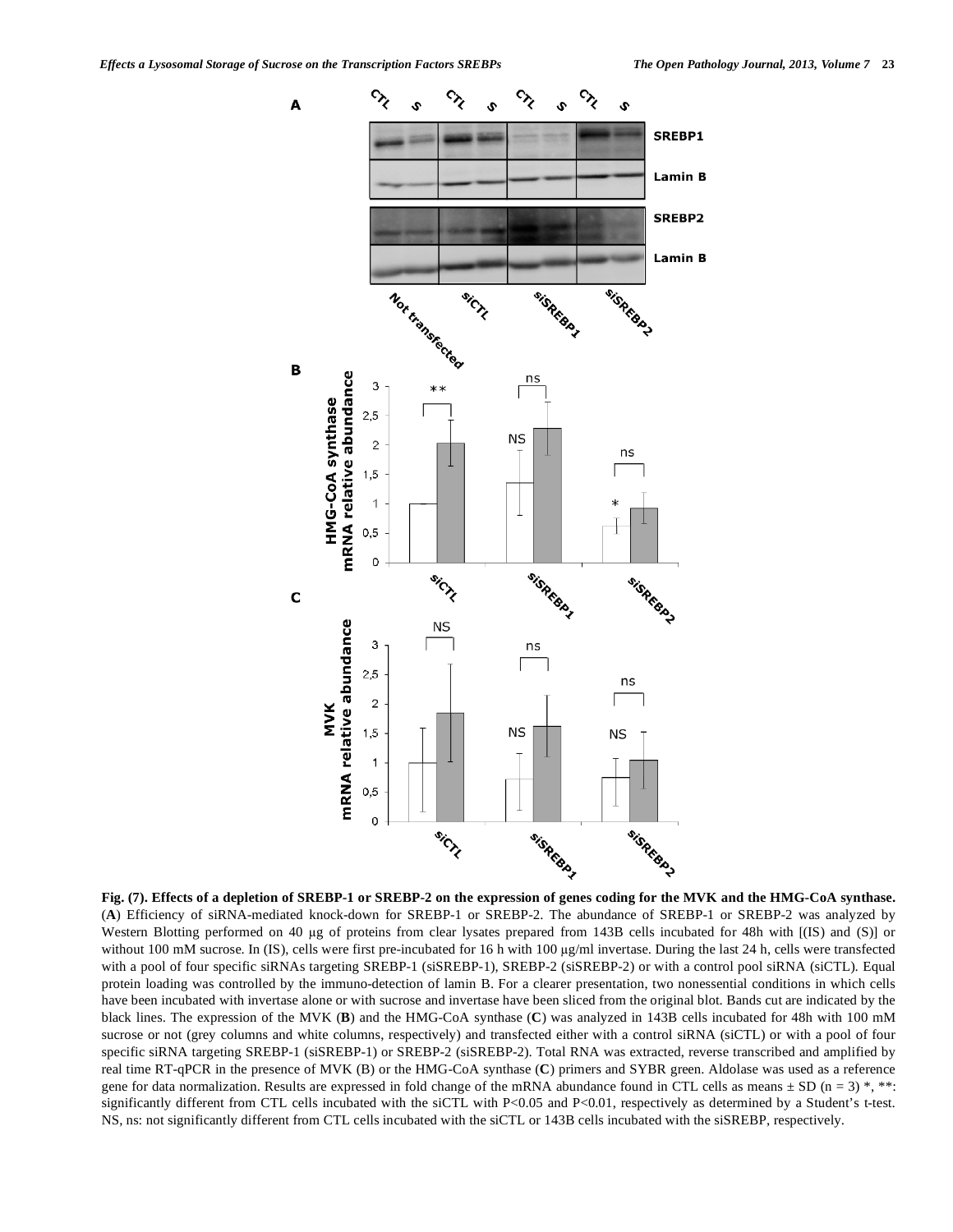

**Fig. (7). Effects of a depletion of SREBP-1 or SREBP-2 on the expression of genes coding for the MVK and the HMG-CoA synthase.** (**A**) Efficiency of siRNA-mediated knock-down for SREBP-1 or SREBP-2. The abundance of SREBP-1 or SREBP-2 was analyzed by Western Blotting performed on 40 µg of proteins from clear lysates prepared from 143B cells incubated for 48h with [(IS) and (S)] or without 100 mM sucrose. In (IS), cells were first pre-incubated for 16 h with 100 µg/ml invertase. During the last 24 h, cells were transfected with a pool of four specific siRNAs targeting SREBP-1 (siSREBP-1), SREBP-2 (siSREBP-2) or with a control pool siRNA (siCTL). Equal protein loading was controlled by the immuno-detection of lamin B. For a clearer presentation, two nonessential conditions in which cells have been incubated with invertase alone or with sucrose and invertase have been sliced from the original blot. Bands cut are indicated by the black lines. The expression of the MVK (**B**) and the HMG-CoA synthase (**C**) was analyzed in 143B cells incubated for 48h with 100 mM sucrose or not (grey columns and white columns, respectively) and transfected either with a control siRNA (siCTL) or with a pool of four specific siRNA targeting SREBP-1 (siSREBP-1) or SREBP-2 (siSREBP-2). Total RNA was extracted, reverse transcribed and amplified by real time RT-qPCR in the presence of MVK (B) or the HMG-CoA synthase (**C**) primers and SYBR green. Aldolase was used as a reference gene for data normalization. Results are expressed in fold change of the mRNA abundance found in CTL cells as means  $\pm$  SD (n = 3) \*, \*\*: significantly different from CTL cells incubated with the siCTL with P<0.05 and P<0.01, respectively as determined by a Student's t-test. NS, ns: not significantly different from CTL cells incubated with the siCTL or 143B cells incubated with the siSREBP, respectively.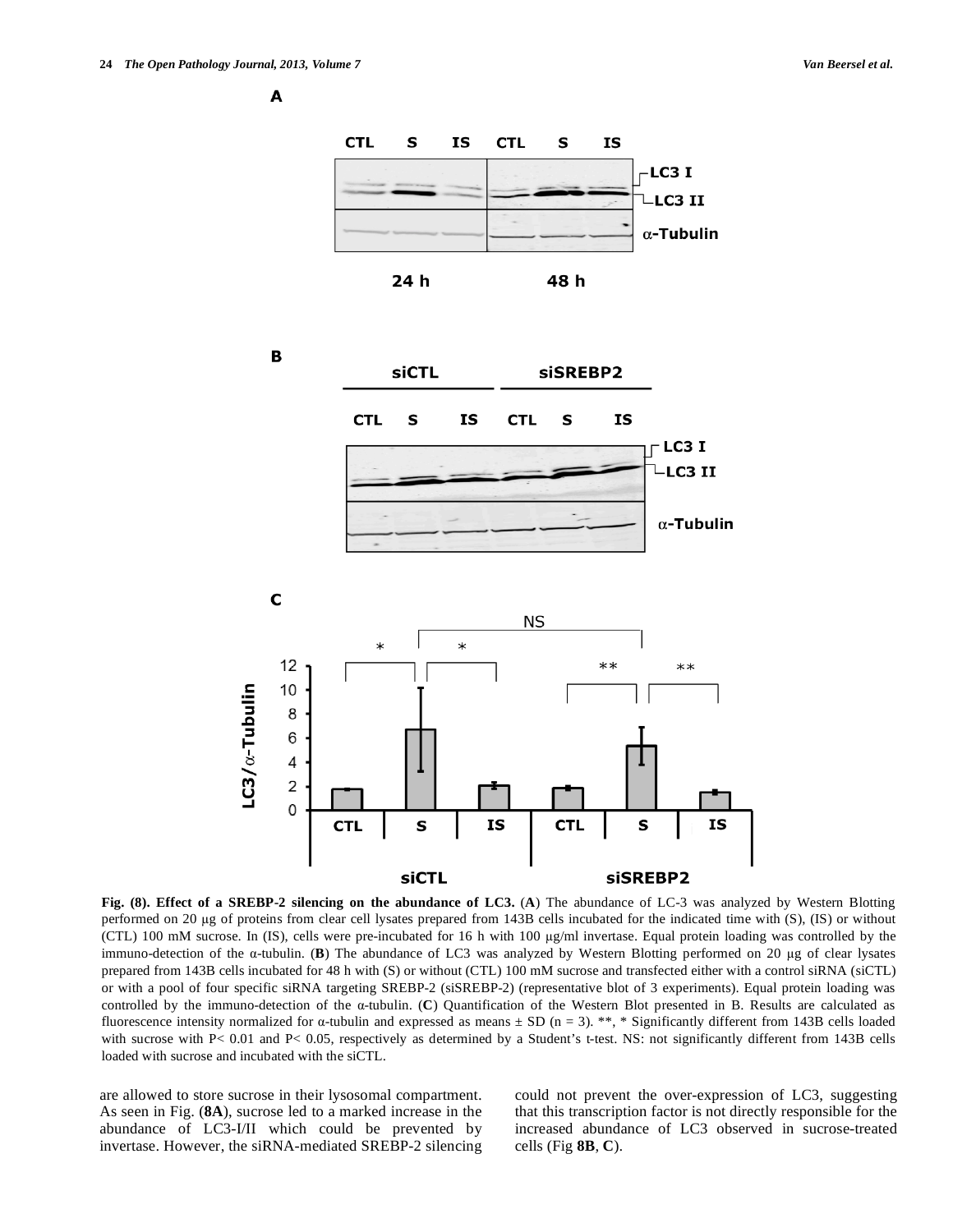**A** 



**Fig. (8). Effect of a SREBP-2 silencing on the abundance of LC3.** (**A**) The abundance of LC-3 was analyzed by Western Blotting performed on 20  $\mu$ g of proteins from clear cell lysates prepared from 143B cells incubated for the indicated time with (S), (IS) or without (CTL) 100 mM sucrose. In (IS), cells were pre-incubated for 16 h with 100 g/ml invertase. Equal protein loading was controlled by the immuno-detection of the  $\alpha$ -tubulin. (**B**) The abundance of LC3 was analyzed by Western Blotting performed on 20  $\mu$ g of clear lysates prepared from 143B cells incubated for 48 h with (S) or without (CTL) 100 mM sucrose and transfected either with a control siRNA (siCTL) or with a pool of four specific siRNA targeting SREBP-2 (siSREBP-2) (representative blot of 3 experiments). Equal protein loading was controlled by the immuno-detection of the a-tubulin. (C) Quantification of the Western Blot presented in B. Results are calculated as fluorescence intensity normalized for  $\alpha$ -tubulin and expressed as means  $\pm$  SD (n = 3). \*\*, \* Significantly different from 143B cells loaded with sucrose with P< 0.01 and P< 0.05, respectively as determined by a Student's t-test. NS: not significantly different from 143B cells loaded with sucrose and incubated with the siCTL.

are allowed to store sucrose in their lysosomal compartment. As seen in Fig. (**8A**), sucrose led to a marked increase in the abundance of LC3-I/II which could be prevented by invertase. However, the siRNA-mediated SREBP-2 silencing could not prevent the over-expression of LC3, suggesting that this transcription factor is not directly responsible for the increased abundance of LC3 observed in sucrose-treated cells (Fig **8B**, **C**).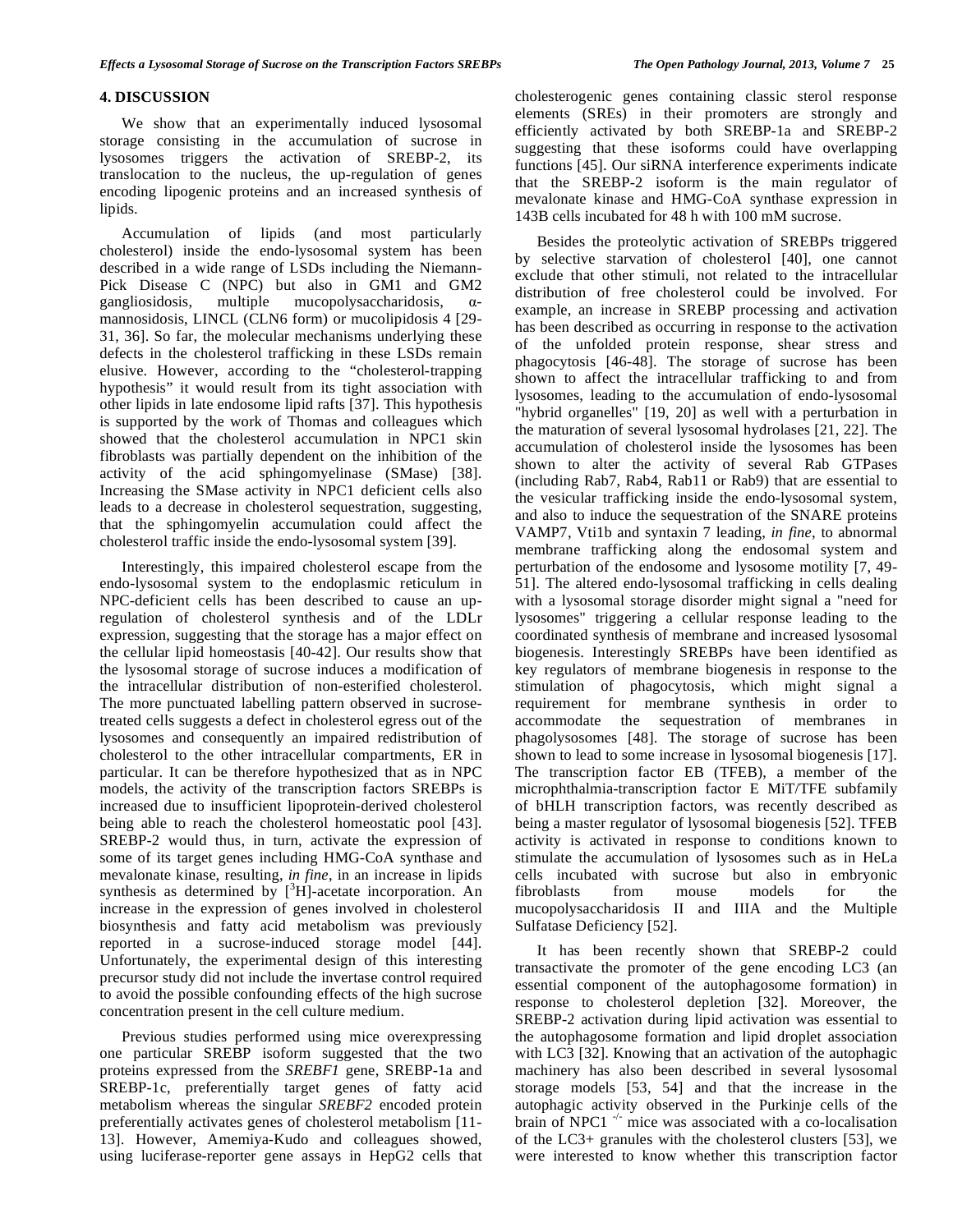#### **4. DISCUSSION**

 We show that an experimentally induced lysosomal storage consisting in the accumulation of sucrose in lysosomes triggers the activation of SREBP-2, its translocation to the nucleus, the up-regulation of genes encoding lipogenic proteins and an increased synthesis of lipids.

 Accumulation of lipids (and most particularly cholesterol) inside the endo-lysosomal system has been described in a wide range of LSDs including the Niemann-Pick Disease C (NPC) but also in GM1 and GM2 gangliosidosis, multiple mucopolysaccharidosis,  $\alpha$ mannosidosis, LINCL (CLN6 form) or mucolipidosis 4 [29- 31, 36]. So far, the molecular mechanisms underlying these defects in the cholesterol trafficking in these LSDs remain elusive. However, according to the "cholesterol-trapping hypothesis" it would result from its tight association with other lipids in late endosome lipid rafts [37]. This hypothesis is supported by the work of Thomas and colleagues which showed that the cholesterol accumulation in NPC1 skin fibroblasts was partially dependent on the inhibition of the activity of the acid sphingomyelinase (SMase) [38]. Increasing the SMase activity in NPC1 deficient cells also leads to a decrease in cholesterol sequestration, suggesting, that the sphingomyelin accumulation could affect the cholesterol traffic inside the endo-lysosomal system [39].

 Interestingly, this impaired cholesterol escape from the endo-lysosomal system to the endoplasmic reticulum in NPC-deficient cells has been described to cause an upregulation of cholesterol synthesis and of the LDLr expression, suggesting that the storage has a major effect on the cellular lipid homeostasis [40-42]. Our results show that the lysosomal storage of sucrose induces a modification of the intracellular distribution of non-esterified cholesterol. The more punctuated labelling pattern observed in sucrosetreated cells suggests a defect in cholesterol egress out of the lysosomes and consequently an impaired redistribution of cholesterol to the other intracellular compartments, ER in particular. It can be therefore hypothesized that as in NPC models, the activity of the transcription factors SREBPs is increased due to insufficient lipoprotein-derived cholesterol being able to reach the cholesterol homeostatic pool [43]. SREBP-2 would thus, in turn, activate the expression of some of its target genes including HMG-CoA synthase and mevalonate kinase, resulting, *in fine*, in an increase in lipids synthesis as determined by  $[^{3}H]$ -acetate incorporation. An increase in the expression of genes involved in cholesterol biosynthesis and fatty acid metabolism was previously reported in a sucrose-induced storage model [44]. Unfortunately, the experimental design of this interesting precursor study did not include the invertase control required to avoid the possible confounding effects of the high sucrose concentration present in the cell culture medium.

 Previous studies performed using mice overexpressing one particular SREBP isoform suggested that the two proteins expressed from the *SREBF1* gene, SREBP-1a and SREBP-1c, preferentially target genes of fatty acid metabolism whereas the singular *SREBF2* encoded protein preferentially activates genes of cholesterol metabolism [11- 13]. However, Amemiya-Kudo and colleagues showed, using luciferase-reporter gene assays in HepG2 cells that cholesterogenic genes containing classic sterol response elements (SREs) in their promoters are strongly and efficiently activated by both SREBP-1a and SREBP-2 suggesting that these isoforms could have overlapping functions [45]. Our siRNA interference experiments indicate that the SREBP-2 isoform is the main regulator of mevalonate kinase and HMG-CoA synthase expression in 143B cells incubated for 48 h with 100 mM sucrose.

 Besides the proteolytic activation of SREBPs triggered by selective starvation of cholesterol [40], one cannot exclude that other stimuli, not related to the intracellular distribution of free cholesterol could be involved. For example, an increase in SREBP processing and activation has been described as occurring in response to the activation of the unfolded protein response, shear stress and phagocytosis [46-48]. The storage of sucrose has been shown to affect the intracellular trafficking to and from lysosomes, leading to the accumulation of endo-lysosomal "hybrid organelles" [19, 20] as well with a perturbation in the maturation of several lysosomal hydrolases [21, 22]. The accumulation of cholesterol inside the lysosomes has been shown to alter the activity of several Rab GTPases (including Rab7, Rab4, Rab11 or Rab9) that are essential to the vesicular trafficking inside the endo-lysosomal system, and also to induce the sequestration of the SNARE proteins VAMP7, Vti1b and syntaxin 7 leading, *in fine*, to abnormal membrane trafficking along the endosomal system and perturbation of the endosome and lysosome motility [7, 49- 51]. The altered endo-lysosomal trafficking in cells dealing with a lysosomal storage disorder might signal a "need for lysosomes" triggering a cellular response leading to the coordinated synthesis of membrane and increased lysosomal biogenesis. Interestingly SREBPs have been identified as key regulators of membrane biogenesis in response to the stimulation of phagocytosis, which might signal a requirement for membrane synthesis in order to accommodate the sequestration of membranes in phagolysosomes [48]. The storage of sucrose has been shown to lead to some increase in lysosomal biogenesis [17]. The transcription factor EB (TFEB), a member of the microphthalmia-transcription factor E MiT/TFE subfamily of bHLH transcription factors, was recently described as being a master regulator of lysosomal biogenesis [52]. TFEB activity is activated in response to conditions known to stimulate the accumulation of lysosomes such as in HeLa cells incubated with sucrose but also in embryonic fibroblasts from mouse models for the mucopolysaccharidosis II and IIIA and the Multiple Sulfatase Deficiency [52].

 It has been recently shown that SREBP-2 could transactivate the promoter of the gene encoding LC3 (an essential component of the autophagosome formation) in response to cholesterol depletion [32]. Moreover, the SREBP-2 activation during lipid activation was essential to the autophagosome formation and lipid droplet association with LC3 [32]. Knowing that an activation of the autophagic machinery has also been described in several lysosomal storage models [53, 54] and that the increase in the autophagic activity observed in the Purkinje cells of the brain of NPC1  $\rightarrow$  mice was associated with a co-localisation of the LC3+ granules with the cholesterol clusters [53], we were interested to know whether this transcription factor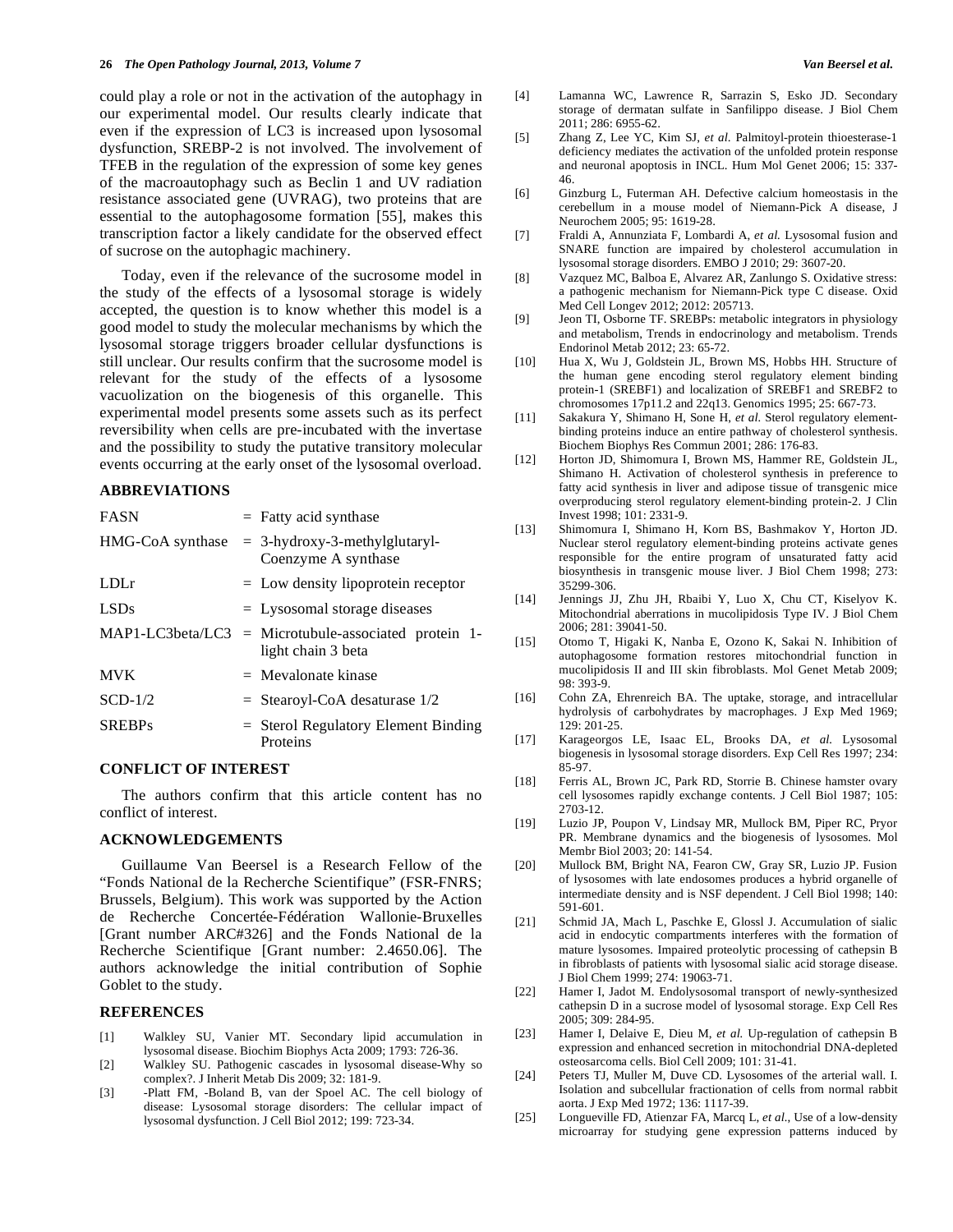could play a role or not in the activation of the autophagy in our experimental model. Our results clearly indicate that even if the expression of LC3 is increased upon lysosomal dysfunction, SREBP-2 is not involved. The involvement of TFEB in the regulation of the expression of some key genes of the macroautophagy such as Beclin 1 and UV radiation resistance associated gene (UVRAG), two proteins that are essential to the autophagosome formation [55], makes this transcription factor a likely candidate for the observed effect of sucrose on the autophagic machinery.

 Today, even if the relevance of the sucrosome model in the study of the effects of a lysosomal storage is widely accepted, the question is to know whether this model is a good model to study the molecular mechanisms by which the lysosomal storage triggers broader cellular dysfunctions is still unclear. Our results confirm that the sucrosome model is relevant for the study of the effects of a lysosome vacuolization on the biogenesis of this organelle. This experimental model presents some assets such as its perfect reversibility when cells are pre-incubated with the invertase and the possibility to study the putative transitory molecular events occurring at the early onset of the lysosomal overload.

#### **ABBREVIATIONS**

| <b>FASN</b>      | $=$ Fatty acid synthase                                     |
|------------------|-------------------------------------------------------------|
| HMG-CoA synthase | $=$ 3-hydroxy-3-methylglutaryl-<br>Coenzyme A synthase      |
| LDLr             | $=$ Low density lipoprotein receptor                        |
| <b>LSDs</b>      | $=$ Lysosomal storage diseases                              |
| MAP1-LC3beta/LC3 | $=$ Microtubule-associated protein 1-<br>light chain 3 beta |
| <b>MVK</b>       | $=$ Mevalonate kinase                                       |
| $SCD-1/2$        | $=$ Stearoyl-CoA desaturase $1/2$                           |
| <b>SREBPs</b>    | $=$ Sterol Regulatory Element Binding<br>Proteins           |

# **CONFLICT OF INTEREST**

 The authors confirm that this article content has no conflict of interest.

# **ACKNOWLEDGEMENTS**

 Guillaume Van Beersel is a Research Fellow of the "Fonds National de la Recherche Scientifique" (FSR-FNRS; Brussels, Belgium). This work was supported by the Action de Recherche Concertée-Fédération Wallonie-Bruxelles [Grant number ARC#326] and the Fonds National de la Recherche Scientifique [Grant number: 2.4650.06]. The authors acknowledge the initial contribution of Sophie Goblet to the study.

#### **REFERENCES**

- [1] Walkley SU, Vanier MT. Secondary lipid accumulation in lysosomal disease. Biochim Biophys Acta 2009; 1793: 726-36.
- [2] Walkley SU. Pathogenic cascades in lysosomal disease-Why so complex?. J Inherit Metab Dis 2009; 32: 181-9.
- [3] -Platt FM, -Boland B, van der Spoel AC. The cell biology of disease: Lysosomal storage disorders: The cellular impact of lysosomal dysfunction. J Cell Biol 2012; 199: 723-34.
- [4] Lamanna WC, Lawrence R, Sarrazin S, Esko JD. Secondary storage of dermatan sulfate in Sanfilippo disease. J Biol Chem 2011; 286: 6955-62.
- [5] Zhang Z, Lee YC, Kim SJ, *et al*. Palmitoyl-protein thioesterase-1 deficiency mediates the activation of the unfolded protein response and neuronal apoptosis in INCL. Hum Mol Genet 2006; 15: 337- 46.
- [6] Ginzburg L, Futerman AH. Defective calcium homeostasis in the cerebellum in a mouse model of Niemann-Pick A disease, J Neurochem 2005; 95: 1619-28.
- [7] Fraldi A, Annunziata F, Lombardi A, *et al.* Lysosomal fusion and SNARE function are impaired by cholesterol accumulation in lysosomal storage disorders. EMBO J 2010; 29: 3607-20.
- [8] Vazquez MC, Balboa E, Alvarez AR, Zanlungo S. Oxidative stress: a pathogenic mechanism for Niemann-Pick type C disease. Oxid Med Cell Longev 2012; 2012: 205713.
- [9] Jeon TI, Osborne TF. SREBPs: metabolic integrators in physiology and metabolism, Trends in endocrinology and metabolism. Trends Endorinol Metab 2012; 23: 65-72.
- [10] Hua X, Wu J, Goldstein JL, Brown MS, Hobbs HH. Structure of the human gene encoding sterol regulatory element binding protein-1 (SREBF1) and localization of SREBF1 and SREBF2 to chromosomes 17p11.2 and 22q13. Genomics 1995; 25: 667-73.
- [11] Sakakura Y, Shimano H, Sone H, *et al.* Sterol regulatory elementbinding proteins induce an entire pathway of cholesterol synthesis. Biochem Biophys Res Commun 2001; 286: 176-83.
- [12] Horton JD, Shimomura I, Brown MS, Hammer RE, Goldstein JL, Shimano H. Activation of cholesterol synthesis in preference to fatty acid synthesis in liver and adipose tissue of transgenic mice overproducing sterol regulatory element-binding protein-2. J Clin Invest 1998; 101: 2331-9.
- [13] Shimomura I, Shimano H, Korn BS, Bashmakov Y, Horton JD. Nuclear sterol regulatory element-binding proteins activate genes responsible for the entire program of unsaturated fatty acid biosynthesis in transgenic mouse liver. J Biol Chem 1998; 273: 35299-306.
- [14] Jennings JJ, Zhu JH, Rbaibi Y, Luo X, Chu CT, Kiselyov K. Mitochondrial aberrations in mucolipidosis Type IV. J Biol Chem 2006; 281: 39041-50.
- [15] Otomo T, Higaki K, Nanba E, Ozono K, Sakai N. Inhibition of autophagosome formation restores mitochondrial function in mucolipidosis II and III skin fibroblasts. Mol Genet Metab 2009; 98: 393-9.
- [16] Cohn ZA, Ehrenreich BA. The uptake, storage, and intracellular hydrolysis of carbohydrates by macrophages. J Exp Med 1969; 129: 201-25.
- [17] Karageorgos LE, Isaac EL, Brooks DA, *et al.* Lysosomal biogenesis in lysosomal storage disorders. Exp Cell Res 1997; 234: 85-97.
- [18] Ferris AL, Brown JC, Park RD, Storrie B. Chinese hamster ovary cell lysosomes rapidly exchange contents. J Cell Biol 1987; 105: 2703-12.
- [19] Luzio JP, Poupon V, Lindsay MR, Mullock BM, Piper RC, Pryor PR. Membrane dynamics and the biogenesis of lysosomes. Mol Membr Biol 2003; 20: 141-54.
- [20] Mullock BM, Bright NA, Fearon CW, Gray SR, Luzio JP. Fusion of lysosomes with late endosomes produces a hybrid organelle of intermediate density and is NSF dependent. J Cell Biol 1998; 140: 591-601.
- [21] Schmid JA, Mach L, Paschke E, Glossl J. Accumulation of sialic acid in endocytic compartments interferes with the formation of mature lysosomes. Impaired proteolytic processing of cathepsin B in fibroblasts of patients with lysosomal sialic acid storage disease. J Biol Chem 1999; 274: 19063-71.
- [22] Hamer I, Jadot M. Endolysosomal transport of newly-synthesized cathepsin D in a sucrose model of lysosomal storage. Exp Cell Res 2005; 309: 284-95.
- [23] Hamer I, Delaive E, Dieu M, *et al.* Up-regulation of cathepsin B expression and enhanced secretion in mitochondrial DNA-depleted osteosarcoma cells. Biol Cell 2009; 101: 31-41.
- [24] Peters TJ, Muller M, Duve CD. Lysosomes of the arterial wall. I. Isolation and subcellular fractionation of cells from normal rabbit aorta. J Exp Med 1972; 136: 1117-39.
- [25] Longueville FD, Atienzar FA, Marcq L, *et al.*, Use of a low-density microarray for studying gene expression patterns induced by